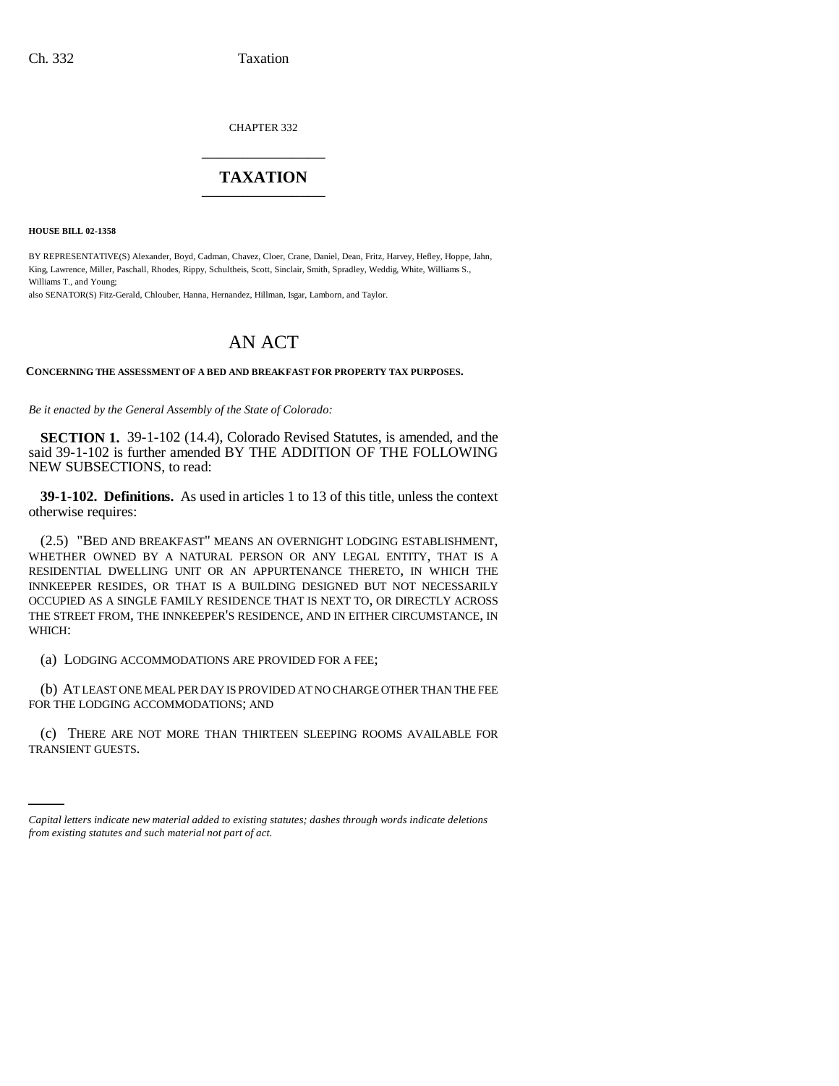CHAPTER 332 \_\_\_\_\_\_\_\_\_\_\_\_\_\_\_

## **TAXATION** \_\_\_\_\_\_\_\_\_\_\_\_\_\_\_

**HOUSE BILL 02-1358**

BY REPRESENTATIVE(S) Alexander, Boyd, Cadman, Chavez, Cloer, Crane, Daniel, Dean, Fritz, Harvey, Hefley, Hoppe, Jahn, King, Lawrence, Miller, Paschall, Rhodes, Rippy, Schultheis, Scott, Sinclair, Smith, Spradley, Weddig, White, Williams S., Williams T., and Young;

also SENATOR(S) Fitz-Gerald, Chlouber, Hanna, Hernandez, Hillman, Isgar, Lamborn, and Taylor.

## AN ACT

**CONCERNING THE ASSESSMENT OF A BED AND BREAKFAST FOR PROPERTY TAX PURPOSES.**

*Be it enacted by the General Assembly of the State of Colorado:*

**SECTION 1.** 39-1-102 (14.4), Colorado Revised Statutes, is amended, and the said 39-1-102 is further amended BY THE ADDITION OF THE FOLLOWING NEW SUBSECTIONS, to read:

**39-1-102. Definitions.** As used in articles 1 to 13 of this title, unless the context otherwise requires:

(2.5) "BED AND BREAKFAST" MEANS AN OVERNIGHT LODGING ESTABLISHMENT, WHETHER OWNED BY A NATURAL PERSON OR ANY LEGAL ENTITY, THAT IS A RESIDENTIAL DWELLING UNIT OR AN APPURTENANCE THERETO, IN WHICH THE INNKEEPER RESIDES, OR THAT IS A BUILDING DESIGNED BUT NOT NECESSARILY OCCUPIED AS A SINGLE FAMILY RESIDENCE THAT IS NEXT TO, OR DIRECTLY ACROSS THE STREET FROM, THE INNKEEPER'S RESIDENCE, AND IN EITHER CIRCUMSTANCE, IN WHICH:

(a) LODGING ACCOMMODATIONS ARE PROVIDED FOR A FEE;

(b) AT LEAST ONE MEAL PER DAY IS PROVIDED AT NO CHARGE OTHER THAN THE FEE FOR THE LODGING ACCOMMODATIONS; AND

(c) THERE ARE NOT MORE THAN THIRTEEN SLEEPING ROOMS AVAILABLE FOR TRANSIENT GUESTS.

*Capital letters indicate new material added to existing statutes; dashes through words indicate deletions from existing statutes and such material not part of act.*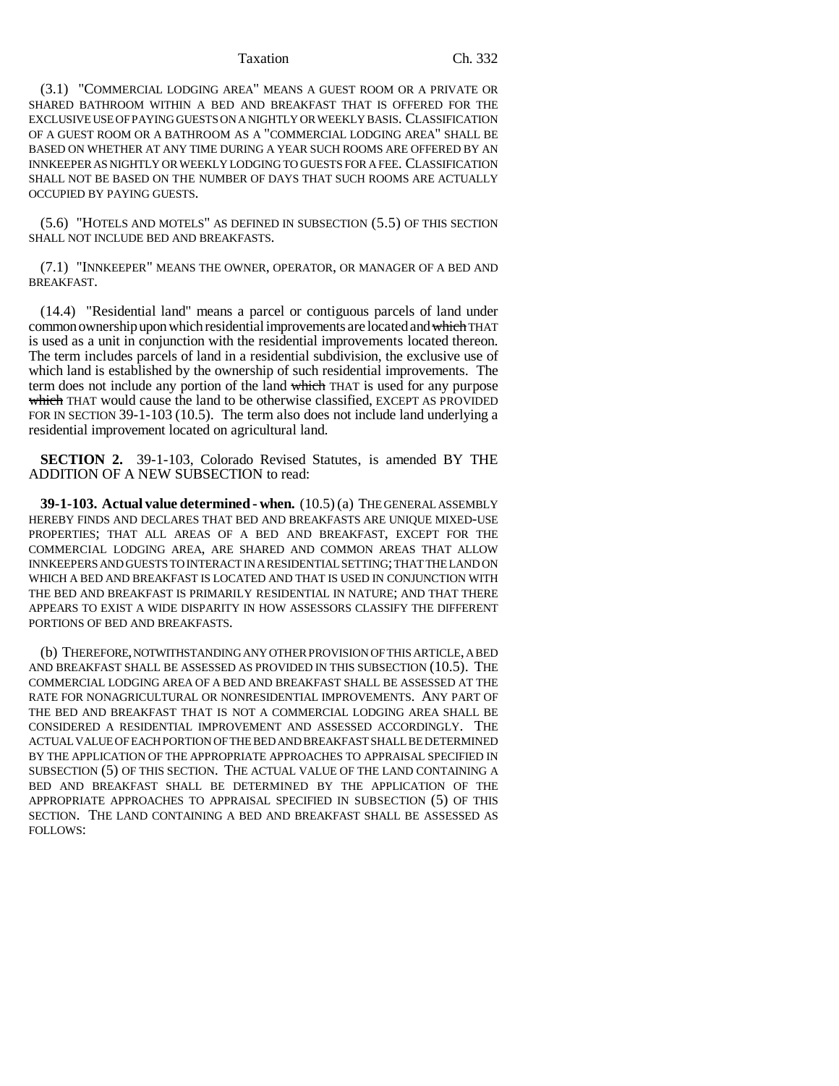## Taxation Ch. 332

(3.1) "COMMERCIAL LODGING AREA" MEANS A GUEST ROOM OR A PRIVATE OR SHARED BATHROOM WITHIN A BED AND BREAKFAST THAT IS OFFERED FOR THE EXCLUSIVE USE OF PAYING GUESTS ON A NIGHTLY OR WEEKLY BASIS. CLASSIFICATION OF A GUEST ROOM OR A BATHROOM AS A "COMMERCIAL LODGING AREA" SHALL BE BASED ON WHETHER AT ANY TIME DURING A YEAR SUCH ROOMS ARE OFFERED BY AN INNKEEPER AS NIGHTLY OR WEEKLY LODGING TO GUESTS FOR A FEE. CLASSIFICATION SHALL NOT BE BASED ON THE NUMBER OF DAYS THAT SUCH ROOMS ARE ACTUALLY OCCUPIED BY PAYING GUESTS.

(5.6) "HOTELS AND MOTELS" AS DEFINED IN SUBSECTION (5.5) OF THIS SECTION SHALL NOT INCLUDE BED AND BREAKFASTS.

(7.1) "INNKEEPER" MEANS THE OWNER, OPERATOR, OR MANAGER OF A BED AND BREAKFAST.

(14.4) "Residential land" means a parcel or contiguous parcels of land under common ownership upon which residential improvements are located and which THAT is used as a unit in conjunction with the residential improvements located thereon. The term includes parcels of land in a residential subdivision, the exclusive use of which land is established by the ownership of such residential improvements. The term does not include any portion of the land which THAT is used for any purpose which THAT would cause the land to be otherwise classified, EXCEPT AS PROVIDED FOR IN SECTION 39-1-103 (10.5). The term also does not include land underlying a residential improvement located on agricultural land.

**SECTION 2.** 39-1-103, Colorado Revised Statutes, is amended BY THE ADDITION OF A NEW SUBSECTION to read:

**39-1-103. Actual value determined - when.** (10.5) (a) THE GENERAL ASSEMBLY HEREBY FINDS AND DECLARES THAT BED AND BREAKFASTS ARE UNIQUE MIXED-USE PROPERTIES; THAT ALL AREAS OF A BED AND BREAKFAST, EXCEPT FOR THE COMMERCIAL LODGING AREA, ARE SHARED AND COMMON AREAS THAT ALLOW INNKEEPERS AND GUESTS TO INTERACT IN A RESIDENTIAL SETTING; THAT THE LAND ON WHICH A BED AND BREAKFAST IS LOCATED AND THAT IS USED IN CONJUNCTION WITH THE BED AND BREAKFAST IS PRIMARILY RESIDENTIAL IN NATURE; AND THAT THERE APPEARS TO EXIST A WIDE DISPARITY IN HOW ASSESSORS CLASSIFY THE DIFFERENT PORTIONS OF BED AND BREAKFASTS.

(b) THEREFORE, NOTWITHSTANDING ANY OTHER PROVISION OF THIS ARTICLE, A BED AND BREAKFAST SHALL BE ASSESSED AS PROVIDED IN THIS SUBSECTION (10.5). THE COMMERCIAL LODGING AREA OF A BED AND BREAKFAST SHALL BE ASSESSED AT THE RATE FOR NONAGRICULTURAL OR NONRESIDENTIAL IMPROVEMENTS. ANY PART OF THE BED AND BREAKFAST THAT IS NOT A COMMERCIAL LODGING AREA SHALL BE CONSIDERED A RESIDENTIAL IMPROVEMENT AND ASSESSED ACCORDINGLY. THE ACTUAL VALUE OF EACH PORTION OF THE BED AND BREAKFAST SHALL BE DETERMINED BY THE APPLICATION OF THE APPROPRIATE APPROACHES TO APPRAISAL SPECIFIED IN SUBSECTION (5) OF THIS SECTION. THE ACTUAL VALUE OF THE LAND CONTAINING A BED AND BREAKFAST SHALL BE DETERMINED BY THE APPLICATION OF THE APPROPRIATE APPROACHES TO APPRAISAL SPECIFIED IN SUBSECTION (5) OF THIS SECTION. THE LAND CONTAINING A BED AND BREAKFAST SHALL BE ASSESSED AS FOLLOWS: